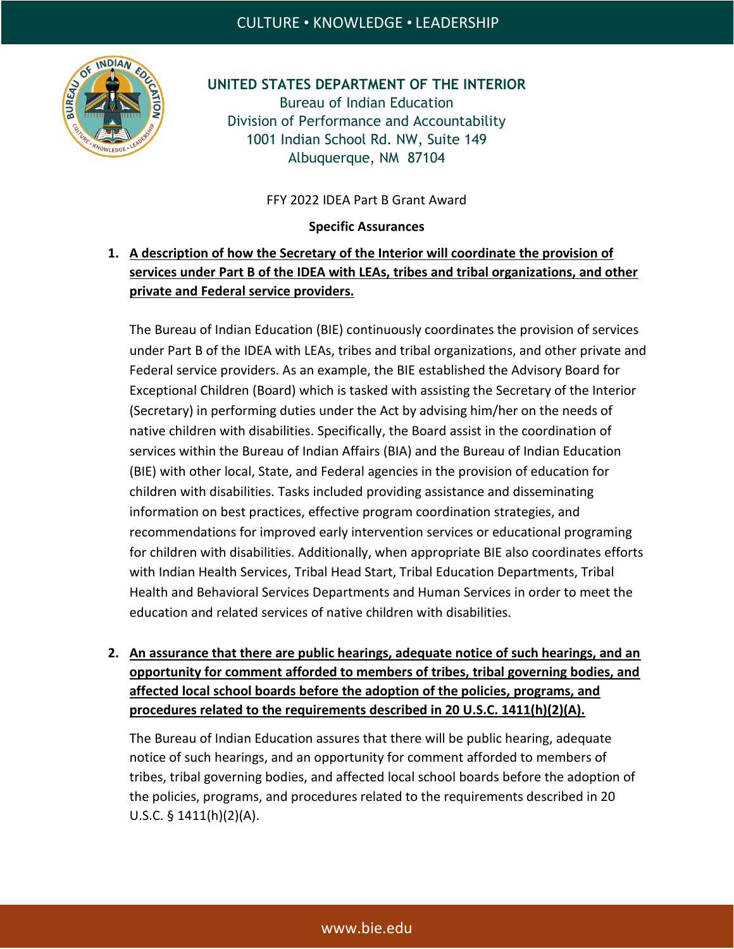

**UNITED STATES DEPARTMENT OF THE INTERIOR** Bureau of Indian Education Division of Performance and Accountability 1001 Indian School Rd. NW, Suite 149 Albuquerque, NM 87104

FFY 2022 IDEA Part B Grant Award

**Specific Assurances**

## **1. A description of how the Secretary of the Interior will coordinate the provision of services under Part B of the IDEA with LEAs, tribes and tribal organizations, and other private and Federal service providers.**

The Bureau of Indian Education (BIE) continuously coordinates the provision of services under Part B of the IDEA with LEAs, tribes and tribal organizations, and other private and Federal service providers. As an example, the BIE established the Advisory Board for Exceptional Children (Board) which is tasked with assisting the Secretary of the Interior (Secretary) in performing duties under the Act by advising him/her on the needs of native children with disabilities. Specifically, the Board assist in the coordination of services within the Bureau of Indian Affairs (BIA) and the Bureau of Indian Education (BIE) with other local, State, and Federal agencies in the provision of education for children with disabilities. Tasks included providing assistance and disseminating information on best practices, effective program coordination strategies, and recommendations for improved early intervention services or educational programing for children with disabilities. Additionally, when appropriate BIE also coordinates efforts with Indian Health Services, Tribal Head Start, Tribal Education Departments, Tribal Health and Behavioral Services Departments and Human Services in order to meet the education and related services of native children with disabilities.

**2. An assurance that there are public hearings, adequate notice of such hearings, and an opportunity for comment afforded to members of tribes, tribal governing bodies, and affected local school boards before the adoption of the policies, programs, and procedures related to the requirements described in 20 U.S.C. 1411(h)(2)(A).**

The Bureau of Indian Education assures that there will be public hearing, adequate notice of such hearings, and an opportunity for comment afforded to members of tribes, tribal governing bodies, and affected local school boards before the adoption of the policies, programs, and procedures related to the requirements described in 20 U.S.C. § 1411(h)(2)(A).